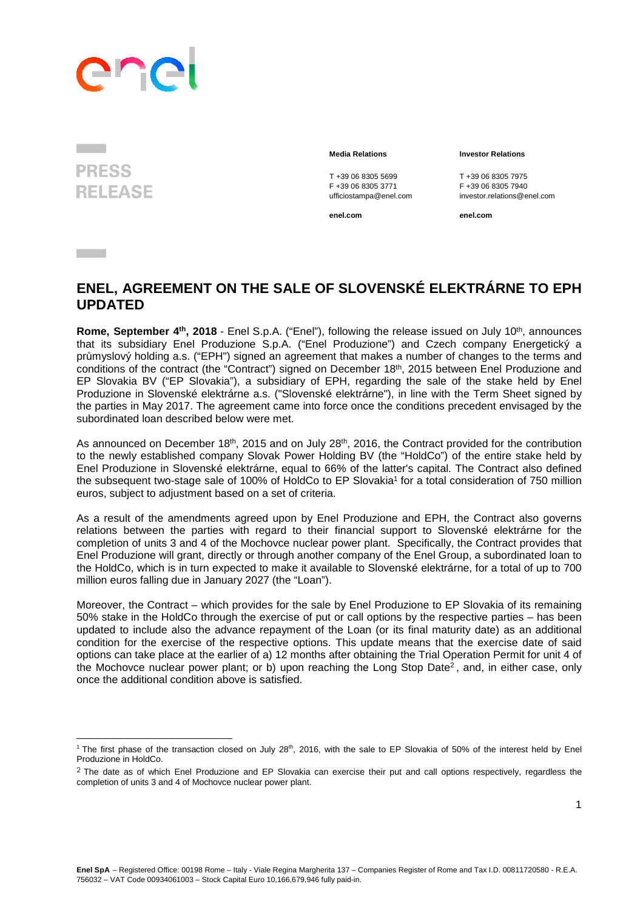## PAC

**PRESS RELEASE** 

**Contract** 

l

T +39 06 8305 5699<br>
F +39 06 8305 3771<br>
F +39 06 8305 3771<br>
F +39 06 8305 7940

**enel.com enel.com**

## **Media Relations Investor Relations**

F +39 06 8305 3771 F +39 06 8305 7940 ufficiostampa@enel.com investor.relations@enel.com

## **ENEL, AGREEMENT ON THE SALE OF SLOVENSKÉ ELEKTRÁRNE TO EPH UPDATED**

**Rome, September 4<sup>th</sup>, 2018** - Enel S.p.A. ("Enel"), following the release issued on July 10<sup>th</sup>, announces that its subsidiary Enel Produzione S.p.A. ("Enel Produzione") and Czech company Energetický a průmyslový holding a.s. ("EPH") signed an agreement that makes a number of changes to the terms and conditions of the contract (the "Contract") signed on December 18<sup>th</sup>, 2015 between Enel Produzione and EP Slovakia BV ("EP Slovakia"), a subsidiary of EPH, regarding the sale of the stake held by Enel Produzione in Slovenské elektrárne a.s. ("Slovenské elektrárne"), in line with the Term Sheet signed by the parties in May 2017. The agreement came into force once the conditions precedent envisaged by the subordinated loan described below were met.

As announced on December 18<sup>th</sup>, 2015 and on July 28<sup>th</sup>, 2016, the Contract provided for the contribution to the newly established company Slovak Power Holding BV (the "HoldCo") of the entire stake held by Enel Produzione in Slovenské elektrárne, equal to 66% of the latter's capital. The Contract also defined the subsequent two-stage sale of 100% of HoldCo to EP Slovakia<sup>1</sup> for a total consideration of 750 million euros, subject to adjustment based on a set of criteria.

As a result of the amendments agreed upon by Enel Produzione and EPH, the Contract also governs relations between the parties with regard to their financial support to Slovenské elektrárne for the completion of units 3 and 4 of the Mochovce nuclear power plant. Specifically, the Contract provides that Enel Produzione will grant, directly or through another company of the Enel Group, a subordinated loan to the HoldCo, which is in turn expected to make it available to Slovenské elektrárne, for a total of up to 700 million euros falling due in January 2027 (the "Loan").

Moreover, the Contract – which provides for the sale by Enel Produzione to EP Slovakia of its remaining 50% stake in the HoldCo through the exercise of put or call options by the respective parties – has been updated to include also the advance repayment of the Loan (or its final maturity date) as an additional condition for the exercise of the respective options. This update means that the exercise date of said options can take place at the earlier of a) 12 months after obtaining the Trial Operation Permit for unit 4 of the Mochovce nuclear power plant; or b) upon reaching the Long Stop Date<sup>2</sup>, and, in either case, only once the additional condition above is satisfied.

<sup>&</sup>lt;sup>1</sup> The first phase of the transaction closed on July 28<sup>th</sup>, 2016, with the sale to EP Slovakia of 50% of the interest held by Enel Produzione in HoldCo.

 $2$  The date as of which Enel Produzione and EP Slovakia can exercise their put and call options respectively, regardless the completion of units 3 and 4 of Mochovce nuclear power plant.